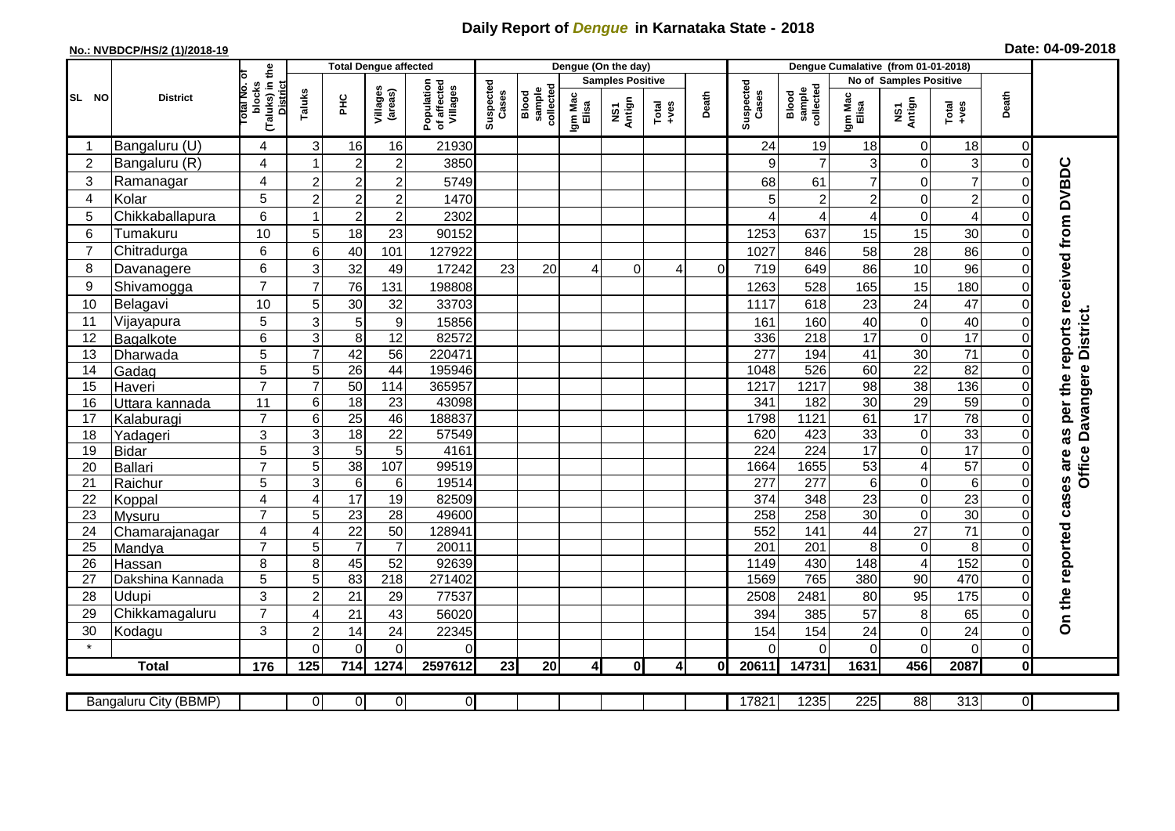## **Daily Report of** *Dengue* **in Karnataka State - 2018**

## **No.: NVBDCP/HS/2 (1)/2018-19**

|  | Date: 04-09-2018 |  |
|--|------------------|--|
|--|------------------|--|

|                |  | <b>Total Dengue affected</b> |                                                          |                     |                       |                     |                                       |                    |                              | Dengue (On the day) |                         |                  |          |                    |                              |                                    |                            |                       |                      |                                     |
|----------------|--|------------------------------|----------------------------------------------------------|---------------------|-----------------------|---------------------|---------------------------------------|--------------------|------------------------------|---------------------|-------------------------|------------------|----------|--------------------|------------------------------|------------------------------------|----------------------------|-----------------------|----------------------|-------------------------------------|
|                |  | <b>District</b>              | ब                                                        |                     |                       |                     |                                       |                    |                              |                     | <b>Samples Positive</b> |                  |          |                    |                              |                                    | No of Samples Positive     |                       |                      |                                     |
| SL NO          |  |                              | (Taluks) in the<br>otal No.<br>blocks<br><b>District</b> | Taluks              | Ξ                     | Villages<br>(areas) | Population<br>of affected<br>Villages | Suspected<br>Cases | collectec<br>sample<br>Blood | Igm Mac<br>Elisa    | NS1<br>Antign           | Total<br>$+ve$ s | Death    | Suspected<br>Cases | sample<br>collected<br>Blood | Igm Mac<br>Elisa                   | NS1<br>Antign              | Total<br>+ves         | Death                |                                     |
| -1             |  | Bangaluru (U)                | 4                                                        | 3                   | 16                    | 16                  | 21930                                 |                    |                              |                     |                         |                  |          | 24                 | 19                           | 18                                 | $\Omega$                   | 18                    | 0                    |                                     |
| $\overline{2}$ |  | Bangaluru (R)                | 4                                                        |                     | $\overline{2}$        | $\overline{2}$      | 3850                                  |                    |                              |                     |                         |                  |          | 9                  | $\overline{7}$               | 3                                  | $\overline{0}$             | 3                     | $\Omega$             |                                     |
| 3              |  | Ramanagar                    | 4                                                        | $\overline{c}$      | $\overline{2}$        | $\overline{2}$      | 5749                                  |                    |                              |                     |                         |                  |          | 68                 | 61                           | $\overline{7}$                     | $\Omega$                   | $\overline{7}$        |                      | per the reports received from DVBDC |
| $\overline{4}$ |  | Kolar                        | 5                                                        | $\overline{2}$      | $\overline{2}$        | $\overline{2}$      | 1470                                  |                    |                              |                     |                         |                  |          | 5                  | $\overline{2}$               | $\overline{c}$                     | $\overline{0}$             | $\overline{c}$        |                      |                                     |
| 5              |  | Chikkaballapura              | 6                                                        |                     | $\overline{2}$        | $\overline{2}$      | 2302                                  |                    |                              |                     |                         |                  |          | 4                  | 4                            | 4                                  | 0                          | 4                     |                      |                                     |
| 6              |  | Tumakuru                     | 10                                                       | 5                   | 18                    | 23                  | 90152                                 |                    |                              |                     |                         |                  |          | 1253               | 637                          | 15                                 | 15                         | 30                    |                      |                                     |
| $\overline{7}$ |  | Chitradurga                  | 6                                                        | $6\phantom{1}6$     | 40                    | 101                 | 127922                                |                    |                              |                     |                         |                  |          | 1027               | 846                          | 58                                 | 28                         | 86                    | 0                    |                                     |
| 8              |  | Davanagere                   | 6                                                        | 3                   | 32                    | 49                  | 17242                                 | 23                 | 20                           | 4                   | 0                       | 4                | $\Omega$ | 719                | 649                          | 86                                 | 10                         | 96                    |                      |                                     |
| 9              |  | Shivamogga                   | $\overline{7}$                                           | $\overline{7}$      | 76                    | 131                 | 198808                                |                    |                              |                     |                         |                  |          | 1263               | 528                          | 165                                | 15                         | 180                   | 0                    |                                     |
| 10             |  | Belagavi                     | 10                                                       | 5                   | 30                    | 32                  | 33703                                 |                    |                              |                     |                         |                  |          | 1117               | 618                          | 23                                 | 24                         | 47                    | 0                    |                                     |
| 11             |  | Vijayapura                   | 5                                                        | 3                   | 5                     | $\boldsymbol{9}$    | 15856                                 |                    |                              |                     |                         |                  |          | 161                | 160                          | 40                                 | $\Omega$                   | 40                    | 0                    | Office Davangere District.          |
| 12             |  | Bagalkote                    | 6                                                        | $\mathsf 3$         | 8                     | $\overline{12}$     | 82572                                 |                    |                              |                     |                         |                  |          | 336                | 218                          | $\overline{17}$                    | $\mathbf 0$                | 17                    | 0                    |                                     |
| 13             |  | Dharwada                     | 5                                                        | $\overline{7}$      | 42                    | 56                  | 220471                                |                    |                              |                     |                         |                  |          | 277                | 194                          | $\overline{41}$                    | $\overline{30}$            | $\overline{71}$       | 0                    |                                     |
| 14             |  | Gadag                        | $\overline{5}$                                           | 5                   | $\overline{26}$       | $\overline{44}$     | 195946                                |                    |                              |                     |                         |                  |          | 1048               | 526                          | 60                                 | $\overline{22}$            | 82                    | $\Omega$             |                                     |
| 15             |  | Haveri                       | $\overline{7}$                                           | $\overline{7}$      | 50                    | 114                 | 365957                                |                    |                              |                     |                         |                  |          | 1217               | 1217                         | 98                                 | 38                         | 136                   | 0                    |                                     |
| 16             |  | Uttara kannada               | 11                                                       | 6                   | 18                    | 23                  | 43098                                 |                    |                              |                     |                         |                  |          | 341                | 182                          | 30                                 | 29                         | 59                    | $\Omega$             |                                     |
| 17             |  | Kalaburagi                   | $\overline{7}$                                           | 6                   | 25                    | 46                  | 188837                                |                    |                              |                     |                         |                  |          | 1798               | 1121                         | 61                                 | 17                         | $\overline{78}$       |                      |                                     |
| 18             |  | Yadageri                     | 3                                                        | 3                   | 18                    | 22                  | 57549                                 |                    |                              |                     |                         |                  |          | 620                | 423                          | 33                                 | $\mathbf 0$                | 33                    | 0                    | as                                  |
| 19             |  | <b>Bidar</b>                 | 5                                                        | 3                   | 5                     | 5                   | 4161                                  |                    |                              |                     |                         |                  |          | 224                | 224                          | 17                                 | $\overline{0}$             | 17                    | $\Omega$             | are                                 |
| 20             |  | Ballari                      | $\overline{7}$                                           | 5                   | 38                    | 107                 | 99519                                 |                    |                              |                     |                         |                  |          | 1664               | 1655                         | 53                                 | $\overline{4}$             | 57                    | $\Omega$             |                                     |
| 21             |  | Raichur                      | 5<br>$\overline{4}$                                      | 3                   | $6\phantom{1}6$       | 6                   | 19514                                 |                    |                              |                     |                         |                  |          | 277                | 277                          | $\overline{6}$                     | $\overline{0}$             | $\overline{6}$        | $\Omega$             | cases                               |
| 22             |  | Koppal                       | $\overline{7}$                                           | $\overline{4}$<br>5 | 17<br>$\overline{23}$ | 19<br>28            | 82509<br>49600                        |                    |                              |                     |                         |                  |          | 374<br>258         | 348<br>258                   | $\overline{23}$<br>$\overline{30}$ | $\Omega$<br>$\overline{0}$ | $\overline{23}$<br>30 | $\Omega$<br>$\Omega$ |                                     |
| 23<br>24       |  | Mysuru<br>Chamarajanagar     | 4                                                        | $\overline{4}$      | $\overline{22}$       | $\overline{50}$     | 128941                                |                    |                              |                     |                         |                  |          | 552                | 141                          | 44                                 | $\overline{27}$            | $\overline{71}$       | $\Omega$             |                                     |
| 25             |  | Mandya                       | $\overline{7}$                                           | 5                   | $\overline{7}$        | $\overline{7}$      | 20011                                 |                    |                              |                     |                         |                  |          | 201                | 201                          | 8                                  | $\overline{0}$             | 8                     | 0                    |                                     |
| 26             |  | Hassan                       | 8                                                        | 8                   | 45                    | 52                  | 92639                                 |                    |                              |                     |                         |                  |          | 1149               | 430                          | 148                                | $\overline{4}$             | 152                   | $\Omega$             |                                     |
| 27             |  | Dakshina Kannada             | 5                                                        | 5                   | 83                    | 218                 | 271402                                |                    |                              |                     |                         |                  |          | 1569               | 765                          | 380                                | 90                         | 470                   | $\Omega$             |                                     |
| 28             |  | Udupi                        | 3                                                        | $\overline{2}$      | 21                    | 29                  | 77537                                 |                    |                              |                     |                         |                  |          | 2508               | 2481                         | 80                                 | 95                         | 175                   | 0                    |                                     |
| 29             |  | Chikkamagaluru               | $\overline{7}$                                           | 4                   | 21                    | 43                  | 56020                                 |                    |                              |                     |                         |                  |          | 394                | 385                          | 57                                 | 8                          | 65                    | 0                    | On the reported                     |
| 30             |  | Kodagu                       | 3                                                        | $\overline{2}$      | 14                    | 24                  | 22345                                 |                    |                              |                     |                         |                  |          | 154                | 154                          | 24                                 | $\overline{0}$             | 24                    | $\overline{0}$       |                                     |
|                |  |                              |                                                          | $\Omega$            | $\Omega$              | $\Omega$            | 0                                     |                    |                              |                     |                         |                  |          | $\Omega$           | $\Omega$                     | $\Omega$                           | $\Omega$                   | $\mathbf 0$           | $\overline{0}$       |                                     |
|                |  | <b>Total</b>                 | 176                                                      | 125                 | 714                   | 1274                | 2597612                               | 23                 | 20                           | $\overline{4}$      | $\mathbf{0}$            | $\overline{4}$   | $\bf{0}$ | 20611              | 14731                        | 1631                               | 456                        | 2087                  | $\overline{0}$       |                                     |
|                |  |                              |                                                          |                     |                       |                     |                                       |                    |                              |                     |                         |                  |          |                    |                              |                                    |                            |                       |                      |                                     |
|                |  | Bangaluru City (BBMP)        |                                                          | $\overline{0}$      | $\overline{0}$        | $\overline{0}$      | $\overline{0}$                        |                    |                              |                     |                         |                  |          | 17821              | 1235                         | $\overline{225}$                   | $\overline{88}$            | $\overline{313}$      | $\overline{0}$       |                                     |